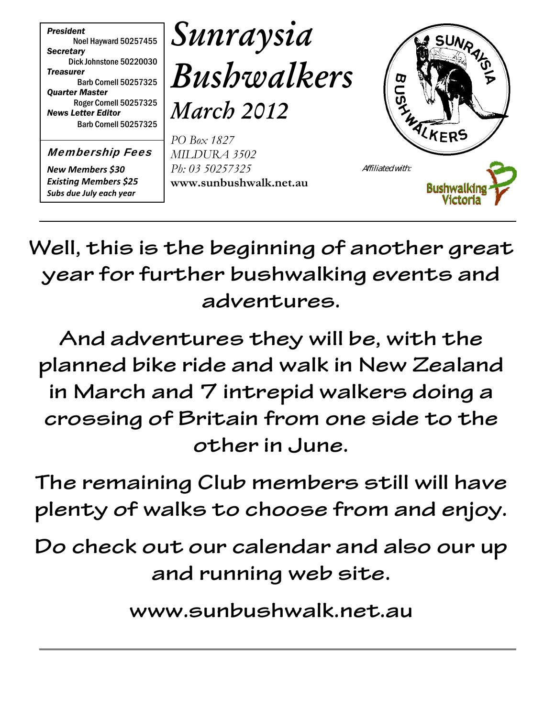

Membership Fees

*New Members \$30 Existing Members \$25 Subs due July each year*

*Sunraysia Bushwalkers*

*March 2012*

*PO Box 1827 MILDURA 3502 Ph: 03 50257325* **www.sunbushwalk.net.au**



**Well, this is the beginning of another great year for further bushwalking events and adventures.**

**And adventures they will be, with the planned bike ride and walk in New Zealand in March and 7 intrepid walkers doing a crossing of Britain from one side to the other in June.**

**The remaining Club members still will have plenty of walks to choose from and enjoy.**

**Do check out our calendar and also our up and running web site.**

**www.sunbushwalk.net.au**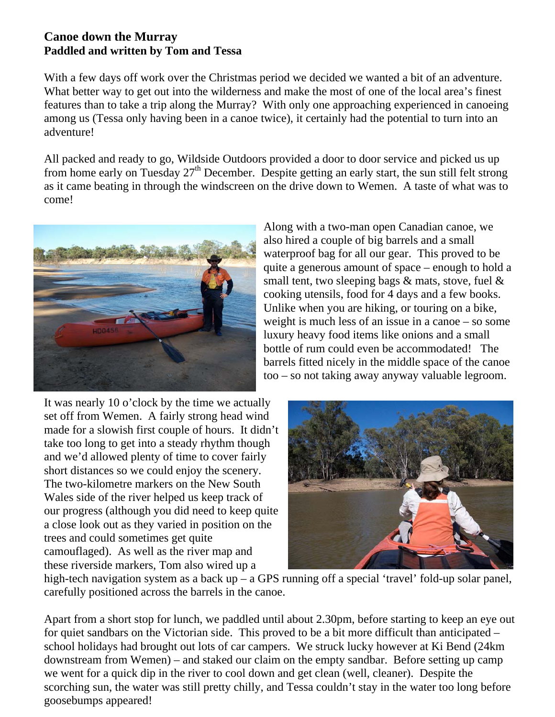#### **Canoe down the Murray Paddled and written by Tom and Tessa**

With a few days off work over the Christmas period we decided we wanted a bit of an adventure. What better way to get out into the wilderness and make the most of one of the local area's finest features than to take a trip along the Murray? With only one approaching experienced in canoeing among us (Tessa only having been in a canoe twice), it certainly had the potential to turn into an adventure!

All packed and ready to go, Wildside Outdoors provided a door to door service and picked us up from home early on Tuesday  $27<sup>th</sup>$  December. Despite getting an early start, the sun still felt strong as it came beating in through the windscreen on the drive down to Wemen. A taste of what was to come!



Along with a two-man open Canadian canoe, we also hired a couple of big barrels and a small waterproof bag for all our gear. This proved to be quite a generous amount of space – enough to hold a small tent, two sleeping bags & mats, stove, fuel & cooking utensils, food for 4 days and a few books. Unlike when you are hiking, or touring on a bike, weight is much less of an issue in a canoe – so some luxury heavy food items like onions and a small bottle of rum could even be accommodated! The barrels fitted nicely in the middle space of the canoe too – so not taking away anyway valuable legroom.

It was nearly 10 o'clock by the time we actually set off from Wemen. A fairly strong head wind made for a slowish first couple of hours. It didn't take too long to get into a steady rhythm though and we'd allowed plenty of time to cover fairly short distances so we could enjoy the scenery. The two-kilometre markers on the New South Wales side of the river helped us keep track of our progress (although you did need to keep quite a close look out as they varied in position on the trees and could sometimes get quite camouflaged). As well as the river map and these riverside markers, Tom also wired up a



high-tech navigation system as a back up – a GPS running off a special 'travel' fold-up solar panel, carefully positioned across the barrels in the canoe.

Apart from a short stop for lunch, we paddled until about 2.30pm, before starting to keep an eye out for quiet sandbars on the Victorian side. This proved to be a bit more difficult than anticipated – school holidays had brought out lots of car campers. We struck lucky however at Ki Bend (24km downstream from Wemen) – and staked our claim on the empty sandbar. Before setting up camp we went for a quick dip in the river to cool down and get clean (well, cleaner). Despite the scorching sun, the water was still pretty chilly, and Tessa couldn't stay in the water too long before goosebumps appeared!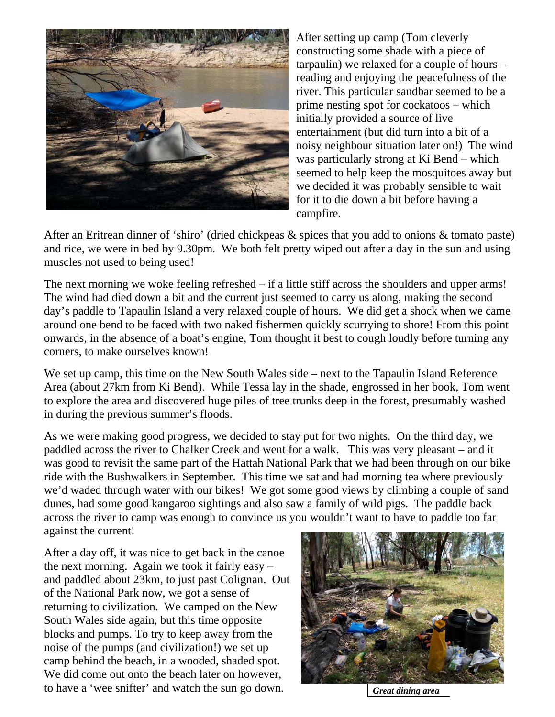

After setting up camp (Tom cleverly constructing some shade with a piece of tarpaulin) we relaxed for a couple of hours – reading and enjoying the peacefulness of the river. This particular sandbar seemed to be a prime nesting spot for cockatoos – which initially provided a source of live entertainment (but did turn into a bit of a noisy neighbour situation later on!) The wind was particularly strong at Ki Bend – which seemed to help keep the mosquitoes away but we decided it was probably sensible to wait for it to die down a bit before having a campfire.

After an Eritrean dinner of 'shiro' (dried chickpeas & spices that you add to onions & tomato paste) and rice, we were in bed by 9.30pm. We both felt pretty wiped out after a day in the sun and using muscles not used to being used!

The next morning we woke feeling refreshed – if a little stiff across the shoulders and upper arms! The wind had died down a bit and the current just seemed to carry us along, making the second day's paddle to Tapaulin Island a very relaxed couple of hours. We did get a shock when we came around one bend to be faced with two naked fishermen quickly scurrying to shore! From this point onwards, in the absence of a boat's engine, Tom thought it best to cough loudly before turning any corners, to make ourselves known!

We set up camp, this time on the New South Wales side – next to the Tapaulin Island Reference Area (about 27km from Ki Bend). While Tessa lay in the shade, engrossed in her book, Tom went to explore the area and discovered huge piles of tree trunks deep in the forest, presumably washed in during the previous summer's floods.

As we were making good progress, we decided to stay put for two nights. On the third day, we paddled across the river to Chalker Creek and went for a walk. This was very pleasant – and it was good to revisit the same part of the Hattah National Park that we had been through on our bike ride with the Bushwalkers in September. This time we sat and had morning tea where previously we'd waded through water with our bikes! We got some good views by climbing a couple of sand dunes, had some good kangaroo sightings and also saw a family of wild pigs. The paddle back across the river to camp was enough to convince us you wouldn't want to have to paddle too far against the current!

After a day off, it was nice to get back in the canoe the next morning. Again we took it fairly easy – and paddled about 23km, to just past Colignan. Out of the National Park now, we got a sense of returning to civilization. We camped on the New South Wales side again, but this time opposite blocks and pumps. To try to keep away from the noise of the pumps (and civilization!) we set up camp behind the beach, in a wooded, shaded spot. We did come out onto the beach later on however, to have a 'wee snifter' and watch the sun go down. *Great dining area*

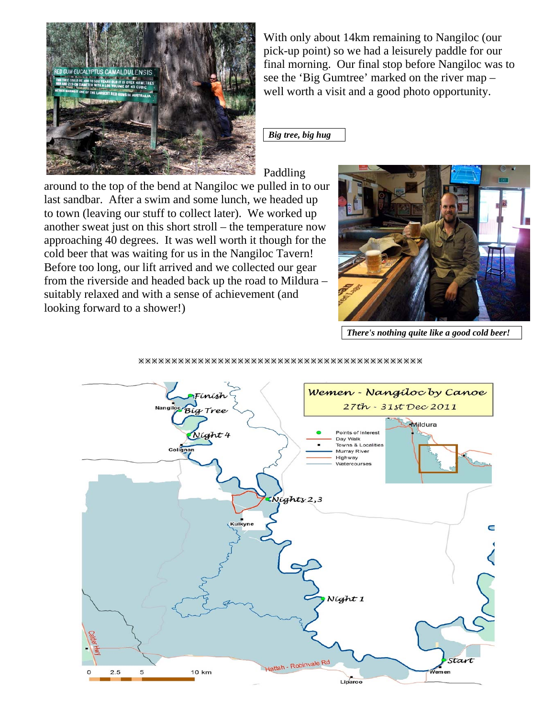

With only about 14km remaining to Nangiloc (our pick-up point) so we had a leisurely paddle for our final morning. Our final stop before Nangiloc was to see the 'Big Gumtree' marked on the river map – well worth a visit and a good photo opportunity.

*Big tree, big hug*

Paddling

around to the top of the bend at Nangiloc we pulled in to our last sandbar. After a swim and some lunch, we headed up to town (leaving our stuff to collect later). We worked up another sweat just on this short stroll – the temperature now approaching 40 degrees. It was well worth it though for the cold beer that was waiting for us in the Nangiloc Tavern! Before too long, our lift arrived and we collected our gear from the riverside and headed back up the road to Mildura – suitably relaxed and with a sense of achievement (and looking forward to a shower!)



*There's nothing quite like a good cold beer!*

#### ÚÚÚÚÚÚÚÚÚÚÚÚÚÚÚÚÚÚÚÚÚÚÚÚÚÚÚÚÚÚÚÚÚÚÚÚÚÚÚÚÚÚÚ

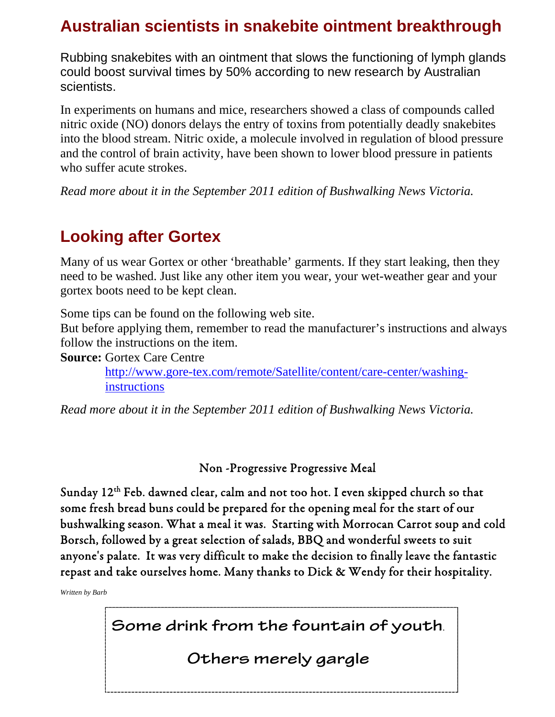# **Australian scientists in snakebite ointment breakthrough**

Rubbing snakebites with an ointment that slows the functioning of lymph glands could boost survival times by 50% according to new research by Australian scientists.

In experiments on humans and mice, researchers showed a class of compounds called nitric oxide (NO) donors delays the entry of toxins from potentially deadly snakebites into the blood stream. Nitric oxide, a molecule involved in regulation of blood pressure and the control of brain activity, have been shown to lower blood pressure in patients who suffer acute strokes.

*Read more about it in the September 2011 edition of Bushwalking News Victoria.*

# **Looking after Gortex**

Many of us wear Gortex or other 'breathable' garments. If they start leaking, then they need to be washed. Just like any other item you wear, your wet-weather gear and your gortex boots need to be kept clean.

Some tips can be found on the following web site.

But before applying them, remember to read the manufacturer's instructions and always follow the instructions on the item.

**Source:** Gortex Care Centre

http://www.gore-tex.com/remote/Satellite/content/care-center/washinginstructions

*Read more about it in the September 2011 edition of Bushwalking News Victoria.*

Non -Progressive Progressive Meal

Sunday 12<sup>th</sup> Feb. dawned clear, calm and not too hot. I even skipped church so that some fresh bread buns could be prepared for the opening meal for the start of our bushwalking season. What a meal it was. Starting with Morrocan Carrot soup and cold Borsch, followed by a great selection of salads, BBQ and wonderful sweets to suit anyone's palate. It was very difficult to make the decision to finally leave the fantastic repast and take ourselves home. Many thanks to Dick & Wendy for their hospitality.

*Written by Barb*

**Some drink from the fountain of youth**.

**Others merely gargle**